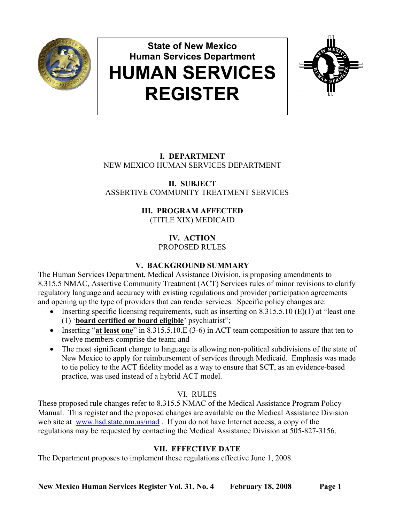

# **State of New Mexico Human Services Department HUMAN SERVICES REGISTER**



# **I. DEPARTMENT** NEW MEXICO HUMAN SERVICES DEPARTMENT

**II. SUBJECT** ASSERTIVE COMMUNITY TREATMENT SERVICES

## **III. PROGRAM AFFECTED** (TITLE XIX) MEDICAID

**IV. ACTION** PROPOSED RULES

# **V. BACKGROUND SUMMARY**

The Human Services Department, Medical Assistance Division, is proposing amendments to 8.315.5 NMAC, Assertive Community Treatment (ACT) Services rules of minor revisions to clarify regulatory language and accuracy with existing regulations and provider participation agreements and opening up the type of providers that can render services. Specific policy changes are:

- Inserting specific licensing requirements, such as inserting on  $8.315.5.10$  (E)(1) at "least one (1) '**board certified or board eligible**' psychiatrist";
- Inserting "at least one" in 8.315.5.10.E (3-6) in ACT team composition to assure that ten to twelve members comprise the team; and
- The most significant change to language is allowing non-political subdivisions of the state of New Mexico to apply for reimbursement of services through Medicaid. Emphasis was made to tie policy to the ACT fidelity model as a way to ensure that SCT, as an evidence-based practice, was used instead of a hybrid ACT model.

# VI. RULES

These proposed rule changes refer to 8.315.5 NMAC of the Medical Assistance Program Policy Manual. This register and the proposed changes are available on the Medical Assistance Division web site at www.hsd.state.nm.us/mad. If you do not have Internet access, a copy of the regulations may be requested by contacting the Medical Assistance Division at 505-827-3156.

# **VII. EFFECTIVE DATE**

The Department proposes to implement these regulations effective June 1, 2008.

**New Mexico Human Services Register Vol. 31, No. 4 February 18, 2008 Page 1**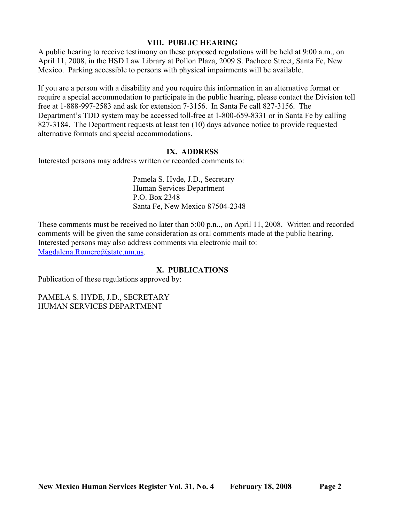## **VIII. PUBLIC HEARING**

A public hearing to receive testimony on these proposed regulations will be held at 9:00 a.m., on April 11, 2008, in the HSD Law Library at Pollon Plaza, 2009 S. Pacheco Street, Santa Fe, New Mexico. Parking accessible to persons with physical impairments will be available.

If you are a person with a disability and you require this information in an alternative format or require a special accommodation to participate in the public hearing, please contact the Division toll free at 1-888-997-2583 and ask for extension 7-3156. In Santa Fe call 827-3156. The Department's TDD system may be accessed toll-free at 1-800-659-8331 or in Santa Fe by calling 827-3184. The Department requests at least ten (10) days advance notice to provide requested alternative formats and special accommodations.

### **IX. ADDRESS**

Interested persons may address written or recorded comments to:

Pamela S. Hyde, J.D., Secretary Human Services Department P.O. Box 2348 Santa Fe, New Mexico 87504-2348

These comments must be received no later than 5:00 p.n.., on April 11, 2008. Written and recorded comments will be given the same consideration as oral comments made at the public hearing. Interested persons may also address comments via electronic mail to: [Magdalena.Romero@state.nm.us.](mailto:Magdalena.Romero@state.nm.us)

## **X. PUBLICATIONS**

Publication of these regulations approved by:

PAMELA S. HYDE, J.D., SECRETARY HUMAN SERVICES DEPARTMENT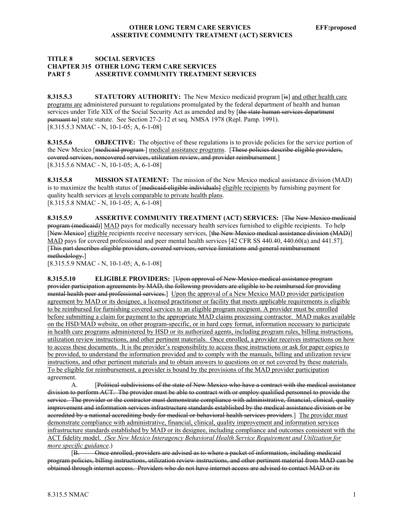#### **TITLE 8 SOCIAL SERVICES CHAPTER 315 OTHER LONG TERM CARE SERVICES PART 5 ASSERTIVE COMMUNITY TREATMENT SERVICES**

**8.315.5.3 STATUTORY AUTHORITY:** The New Mexico medicaid program [is] and other health care programs are administered pursuant to regulations promulgated by the federal department of health and human services under Title XIX of the Social Security Act as amended and by [the state human services department pursuant to] state statute. See Section 27-2-12 et seq. NMSA 1978 (Repl. Pamp. 1991). [8.315.5.3 NMAC - N, 10-1-05; A, 6-1-08]

**8.315.5.6 OBJECTIVE:** The objective of these regulations is to provide policies for the service portion of the New Mexico [medicaid program ] medical assistance programs. [These policies describe eligible providers, covered services, noncovered services, utilization review, and provider reimbursement.] [8.315.5.6 NMAC - N, 10-1-05; A, 6-1-08]

**8.315.5.8 MISSION STATEMENT:** The mission of the New Mexico medical assistance division (MAD) is to maximize the health status of [medicaid-eligible individuals] eligible recipients by furnishing payment for quality health services at levels comparable to private health plans. [8.315.5.8 NMAC - N, 10-1-05; A, 6-1-08]

**8.315.5.9 ASSERTIVE COMMUNITY TREATMENT (ACT) SERVICES:** [The New Mexico medicaid program (medicaid)] MAD pays for medically necessary health services furnished to eligible recipients. To help [New Mexico] eligible recipients receive necessary services, [the New Mexico medical assistance division (MAD)] MAD pays for covered professional and peer mental health services [42 CFR SS 440.40, 440.60(a) and 441.57]. [This part describes eligible providers, covered services, service limitations and general reimbursement methodology.]

[8.315.5.9 NMAC - N, 10-1-05; A, 6-1-08]

**8.315.5.10 ELIGIBLE PROVIDERS:** [Upon approval of New Mexico medical assistance program provider participation agreements by MAD, the following providers are eligible to be reimbursed for providing mental health peer and professional services.] Upon the approval of a New Mexico MAD provider participation agreement by MAD or its designee, a licensed practitioner or facility that meets applicable requirements is eligible to be reimbursed for furnishing covered services to an eligible program recipient. A provider must be enrolled before submitting a claim for payment to the appropriate MAD claims processing contractor. MAD makes available on the HSD/MAD website, on other program-specific, or in hard copy format, information necessary to participate in health care programs administered by HSD or its authorized agents, including program rules, billing instructions, utilization review instructions, and other pertinent materials. Once enrolled, a provider receives instructions on how to access these documents. It is the provider's responsibility to access these instructions or ask for paper copies to be provided, to understand the information provided and to comply with the manuals, billing and utilization review instructions, and other pertinent materials and to obtain answers to questions on or not covered by these materials. To be eligible for reimbursement, a provider is bound by the provisions of the MAD provider participation agreement.

A. [Political subdivisions of the state of New Mexico who have a contract with the medical assistance division to perform ACT. The provider must be able to contract with or employ qualified personnel to provide the service. The provider or the contractor must demonstrate compliance with administrative, financial, clinical, quality improvement and information services infrastructure standards established by the medical assistance division or be accredited by a national accrediting body for medical or behavioral health services providers.] The provider must demonstrate compliance with administrative, financial, clinical, quality improvement and information services infrastructure standards established by MAD or its designee, including compliance and outcomes consistent with the ACT fidelity model. *(See New Mexico Interagency Behavioral Health Service Requirement and Utilization for more specific guidance*.)

[B. Once enrolled, providers are advised as to where a packet of information, including medicaid program policies, billing instructions, utilization review instructions, and other pertinent material from MAD can be obtained through internet access. Providers who do not have internet access are advised to contact MAD or its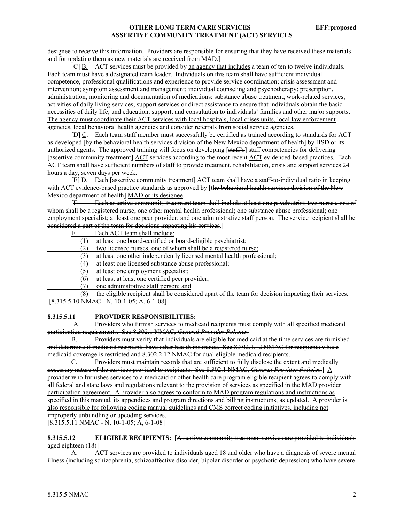#### designee to receive this information. Providers are responsible for ensuring that they have received these materials and for updating them as new materials are received from MAD.]

 $[**G**]$  B. ACT services must be provided by an agency that includes a team of ten to twelve individuals. Each team must have a designated team leader. Individuals on this team shall have sufficient individual competence, professional qualifications and experience to provide service coordination; crisis assessment and intervention; symptom assessment and management; individual counseling and psychotherapy; prescription, administration, monitoring and documentation of medications; substance abuse treatment; work-related services; activities of daily living services; support services or direct assistance to ensure that individuals obtain the basic necessities of daily life; and education, support, and consultation to individuals' families and other major supports. The agency must coordinate their ACT services with local hospitals, local crises units, local law enforcement agencies, local behavioral health agencies and consider referrals from social service agencies.

[D] C. Each team staff member must successfully be certified as trained according to standards for ACT as developed [by the behavioral health services division of the New Mexico department of health] by HSD or its authorized agents. The approved training will focus on developing [staff's] staff competencies for delivering [assertive community treatment] ACT services according to the most recent ACT evidenced-based practices. Each ACT team shall have sufficient numbers of staff to provide treatment, rehabilitation, crisis and support services 24 hours a day, seven days per week.

[E] D. Each [assertive community treatment] ACT team shall have a staff-to-individual ratio in keeping with ACT evidence-based practice standards as approved by [the behavioral health services division of the New Mexico department of health] MAD or its designee.

[F: Each assertive community treatment team shall include at least one psychiatrist; two nurses, one of whom shall be a registered nurse; one other mental health professional; one substance abuse professional; one employment specialist; at least one peer provider; and one administrative staff person. The service recipient shall be considered a part of the team for decisions impacting his services.]

E. Each ACT team shall include:

- (1) at least one board-certified or board-eligible psychiatrist;
- (2) two licensed nurses, one of whom shall be a registered nurse;
- (3) at least one other independently licensed mental health professional;
- (4) at least one licensed substance abuse professional;
- (5) at least one employment specialist;
- (6) at least at least one certified peer provider;
	- (7) one administrative staff person; and

 (8) the eligible recipient shall be considered apart of the team for decision impacting their services. [8.315.5.10 NMAC - N, 10-1-05; A, 6-1-08]

#### **8.315.5.11 PROVIDER RESPONSIBILITIES:**

[A. Providers who furnish services to medicaid recipients must comply with all specified medicaid participation requirements. See 8.302.1 NMAC, *General Provider Policies*.

B. Providers must verify that individuals are eligible for medicaid at the time services are furnished and determine if medicaid recipients have other health insurance. See 8.302.1.12 NMAC for recipients whose medicaid coverage is restricted and 8.302.2.12 NMAC for dual eligible medicaid recipients.

C. Providers must maintain records that are sufficient to fully disclose the extent and medically necessary nature of the services provided to recipients. See 8.302.1 NMAC, *General Provider Policies*.] A provider who furnishes services to a medicaid or other health care program eligible recipient agrees to comply with all federal and state laws and regulations relevant to the provision of services as specified in the MAD provider participation agreement. A provider also agrees to conform to MAD program regulations and instructions as specified in this manual, its appendices and program directions and billing instructions, as updated. A provider is also responsible for following coding manual guidelines and CMS correct coding initiatives, including not improperly unbundling or upcoding services.

[8.315.5.11 NMAC - N, 10-1-05; A, 6-1-08]

#### **8.315.5.12 ELIGIBLE RECIPIENTS:** [Assertive community treatment services are provided to individuals aged eighteen (18)]

A. ACT services are provided to individuals aged 18 and older who have a diagnosis of severe mental illness (including schizophrenia, schizoaffective disorder, bipolar disorder or psychotic depression) who have severe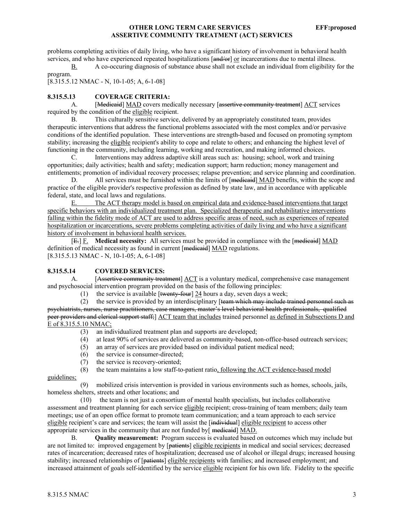problems completing activities of daily living, who have a significant history of involvement in behavioral health services, and who have experienced repeated hospitalizations [and/or] or incarcerations due to mental illness.

B. A co-occuring diagnosis of substance abuse shall not exclude an individual from eligibility for the program.

[8.315.5.12 NMAC - N, 10-1-05; A, 6-1-08]

#### **8.315.5.13 COVERAGE CRITERIA:**

A. [Medicaid] MAD covers medically necessary [assertive community treatment] ACT services required by the condition of the eligible recipient.

B. This culturally sensitive service, delivered by an appropriately constituted team, provides therapeutic interventions that address the functional problems associated with the most complex and/or pervasive conditions of the identified population. These interventions are strength-based and focused on promoting symptom stability; increasing the eligible recipient's ability to cope and relate to others; and enhancing the highest level of functioning in the community, including learning, working and recreation, and making informed choices.

C. Interventions may address adaptive skill areas such as: housing; school, work and training opportunities; daily activities; health and safety; medication support; harm reduction; money management and entitlements; promotion of individual recovery processes; relapse prevention; and service planning and coordination.

D. All services must be furnished within the limits of [medicaid] MAD benefits, within the scope and practice of the eligible provider's respective profession as defined by state law, and in accordance with applicable federal, state, and local laws and regulations.

E. The ACT therapy model is based on empirical data and evidence-based interventions that target specific behaviors with an individualized treatment plan. Specialized therapeutic and rehabilitative interventions falling within the fidelity mode of ACT are used to address specific areas of need, such as experiences of repeated hospitalization or incarcerations, severe problems completing activities of daily living and who have a significant history of involvement in behavioral health services.

[E.] F. **Medical necessity:** All services must be provided in compliance with the [medicaid] MAD definition of medical necessity as found in current [medicaid] MAD regulations. [8.315.5.13 NMAC - N, 10-1-05; A, 6-1-08]

#### **8.315.5.14 COVERED SERVICES:**

A. [Assertive community treatment] ACT is a voluntary medical, comprehensive case management and psychosocial intervention program provided on the basis of the following principles:

(1) the service is available  $[$ twenty-four $]$  24 hours a day, seven days a week;

 (2) the service is provided by an interdisciplinary [team which may include trained personnel such as psychiatrists, nurses, nurse practitioners, case managers, master's level behavioral health professionals, qualified peer providers and clerical support staff;] ACT team that includes trained personnel as defined in Subsections D and E of 8.315.5.10 NMAC;

- (3) an individualized treatment plan and supports are developed;
- (4) at least 90% of services are delivered as community-based, non-office-based outreach services;
- an array of services are provided based on individual patient medical need;
- (6) the service is consumer-directed;
- (7) the service is recovery-oriented;
- (8) the team maintains a low staff-to-patient ratio, following the ACT evidence-based model

guidelines;

 (9) mobilized crisis intervention is provided in various environments such as homes, schools, jails, homeless shelters, streets and other locations; and

 (10) the team is not just a consortium of mental health specialists, but includes collaborative assessment and treatment planning for each service eligible recipient; cross-training of team members; daily team meetings; use of an open office format to promote team communication; and a team approach to each service eligible recipient's care and services; the team will assist the [individual] eligible recipient to access other appropriate services in the community that are not funded by[ medicaid] MAD.

 B. **Quality measurement:** Program success is evaluated based on outcomes which may include but are not limited to: improved engagement by [patients] eligible recipients in medical and social services; decreased rates of incarceration; decreased rates of hospitalization; decreased use of alcohol or illegal drugs; increased housing stability; increased relationships of [patients] eligible recipients with families; and increased employment; and increased attainment of goals self-identified by the service eligible recipient for his own life. Fidelity to the specific